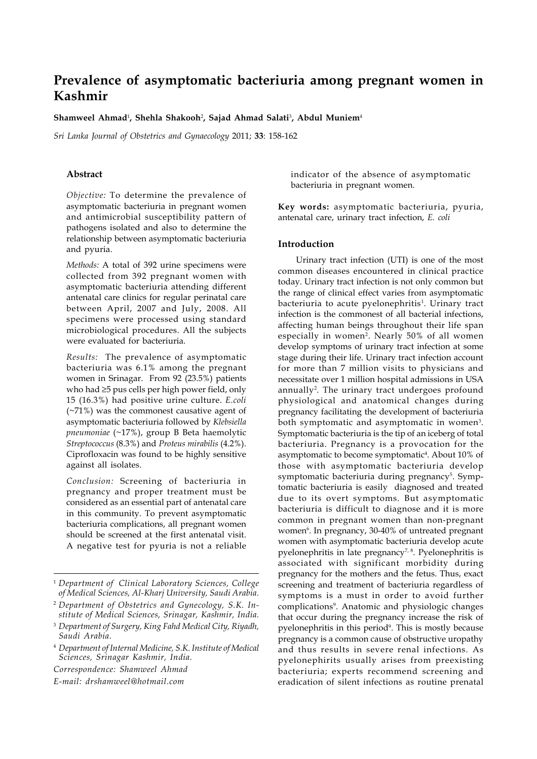# **Prevalence of asymptomatic bacteriuria among pregnant women in Kashmir**

**Shamweel Ahmad**<sup>1</sup> **, Shehla Shakooh**<sup>2</sup> **, Sajad Ahmad Salati**<sup>3</sup> **, Abdul Muniem**<sup>4</sup>

*Sri Lanka Journal of Obstetrics and Gynaecology* 2011; **33**: 158-162

### **Abstract**

*Objective:* To determine the prevalence of asymptomatic bacteriuria in pregnant women and antimicrobial susceptibility pattern of pathogens isolated and also to determine the relationship between asymptomatic bacteriuria and pyuria.

*Methods:* A total of 392 urine specimens were collected from 392 pregnant women with asymptomatic bacteriuria attending different antenatal care clinics for regular perinatal care between April, 2007 and July, 2008. All specimens were processed using standard microbiological procedures. All the subjects were evaluated for bacteriuria.

*Results:* The prevalence of asymptomatic bacteriuria was 6.1% among the pregnant women in Srinagar. From 92 (23.5%) patients who had ≥5 pus cells per high power field, only 15 (16.3%) had positive urine culture. *E.coli* (~71%) was the commonest causative agent of asymptomatic bacteriuria followed by *Klebsiella pneumoniae* (~17%), group B Beta haemolytic *Streptococcus* (8.3%) and *Proteus mirabilis* (4.2%). Ciprofloxacin was found to be highly sensitive against all isolates.

*Conclusion:* Screening of bacteriuria in pregnancy and proper treatment must be considered as an essential part of antenatal care in this community. To prevent asymptomatic bacteriuria complications, all pregnant women should be screened at the first antenatal visit. A negative test for pyuria is not a reliable

*Correspondence: Shamweel Ahmad*

*E-mail: drshamweel@hotmail.com*

indicator of the absence of asymptomatic bacteriuria in pregnant women.

**Key words:** asymptomatic bacteriuria, pyuria, antenatal care, urinary tract infection, *E. coli*

## **Introduction**

Urinary tract infection (UTI) is one of the most common diseases encountered in clinical practice today. Urinary tract infection is not only common but the range of clinical effect varies from asymptomatic bacteriuria to acute pyelonephritis<sup>1</sup>. Urinary tract infection is the commonest of all bacterial infections, affecting human beings throughout their life span especially in women<sup>2</sup>. Nearly 50% of all women develop symptoms of urinary tract infection at some stage during their life. Urinary tract infection account for more than 7 million visits to physicians and necessitate over 1 million hospital admissions in USA annually<sup>2</sup>. The urinary tract undergoes profound physiological and anatomical changes during pregnancy facilitating the development of bacteriuria both symptomatic and asymptomatic in women<sup>3</sup>. Symptomatic bacteriuria is the tip of an iceberg of total bacteriuria. Pregnancy is a provocation for the asymptomatic to become symptomatic<sup>4</sup>. About 10% of those with asymptomatic bacteriuria develop symptomatic bacteriuria during pregnancy<sup>5</sup>. Symptomatic bacteriuria is easily diagnosed and treated due to its overt symptoms. But asymptomatic bacteriuria is difficult to diagnose and it is more common in pregnant women than non-pregnant women<sup>6</sup>. In pregnancy, 30-40% of untreated pregnant women with asymptomatic bacteriuria develop acute pyelonephritis in late pregnancy<sup>7, 8</sup>. Pyelonephritis is associated with significant morbidity during pregnancy for the mothers and the fetus. Thus, exact screening and treatment of bacteriuria regardless of symptoms is a must in order to avoid further complications<sup>9</sup>. Anatomic and physiologic changes that occur during the pregnancy increase the risk of pyelonephritis in this period<sup>9</sup>. This is mostly because pregnancy is a common cause of obstructive uropathy and thus results in severe renal infections. As pyelonephirits usually arises from preexisting bacteriuria; experts recommend screening and eradication of silent infections as routine prenatal

<sup>1</sup> *Department of Clinical Laboratory Sciences, College of Medical Sciences, Al-Kharj University, Saudi Arabia.*

<sup>2</sup> *Department of Obstetrics and Gynecology, S.K. Institute of Medical Sciences, Srinagar, Kashmir, India.*

<sup>3</sup> *Department of Surgery, King Fahd Medical City, Riyadh, Saudi Arabia.*

<sup>4</sup> *Department of Internal Medicine, S.K. Institute of Medical Sciences, Srinagar Kashmir, India.*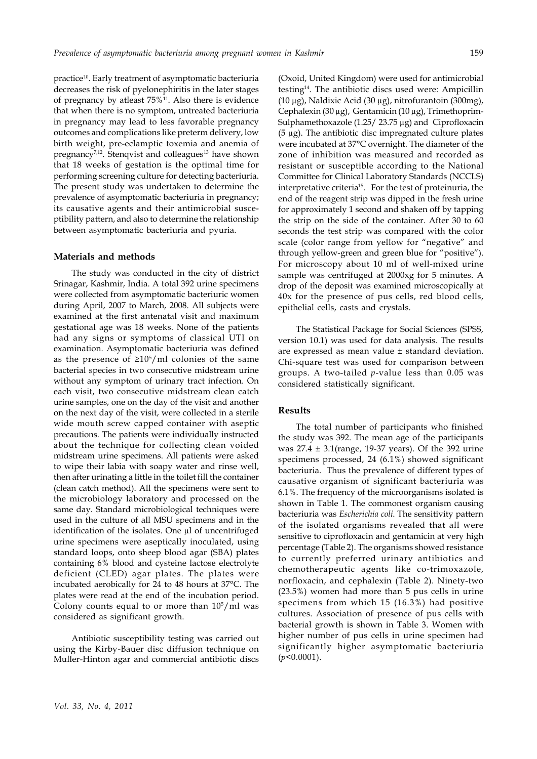practice10. Early treatment of asymptomatic bacteriuria decreases the risk of pyelonephiritis in the later stages of pregnancy by atleast 75%<sup>11</sup>. Also there is evidence that when there is no symptom, untreated bacteriuria in pregnancy may lead to less favorable pregnancy outcomes and complications like preterm delivery, low birth weight, pre-eclamptic toxemia and anemia of pregnancy<sup>7,12</sup>. Stenqvist and colleagues<sup>13</sup> have shown that 18 weeks of gestation is the optimal time for performing screening culture for detecting bacteriuria. The present study was undertaken to determine the prevalence of asymptomatic bacteriuria in pregnancy; its causative agents and their antimicrobial susceptibility pattern, and also to determine the relationship between asymptomatic bacteriuria and pyuria.

## **Materials and methods**

The study was conducted in the city of district Srinagar, Kashmir, India. A total 392 urine specimens were collected from asymptomatic bacteriuric women during April, 2007 to March, 2008. All subjects were examined at the first antenatal visit and maximum gestational age was 18 weeks. None of the patients had any signs or symptoms of classical UTI on examination. Asymptomatic bacteriuria was defined as the presence of ≥10<sup>5</sup>/ml colonies of the same bacterial species in two consecutive midstream urine without any symptom of urinary tract infection. On each visit, two consecutive midstream clean catch urine samples, one on the day of the visit and another on the next day of the visit, were collected in a sterile wide mouth screw capped container with aseptic precautions. The patients were individually instructed about the technique for collecting clean voided midstream urine specimens. All patients were asked to wipe their labia with soapy water and rinse well, then after urinating a little in the toilet fill the container (clean catch method). All the specimens were sent to the microbiology laboratory and processed on the same day. Standard microbiological techniques were used in the culture of all MSU specimens and in the identification of the isolates. One μl of uncentrifuged urine specimens were aseptically inoculated, using standard loops, onto sheep blood agar (SBA) plates containing 6% blood and cysteine lactose electrolyte deficient (CLED) agar plates. The plates were incubated aerobically for 24 to 48 hours at 37°C. The plates were read at the end of the incubation period. Colony counts equal to or more than  $10^5$ /ml was considered as significant growth.

Antibiotic susceptibility testing was carried out using the Kirby-Bauer disc diffusion technique on Muller-Hinton agar and commercial antibiotic discs

(Oxoid, United Kingdom) were used for antimicrobial testing14. The antibiotic discs used were: Ampicillin (10 μg), Naldixic Acid (30 μg), nitrofurantoin (300mg), Cephalexin (30 μg), Gentamicin (10 μg), Trimethoprim-Sulphamethoxazole (1.25/ 23.75 μg) and Ciprofloxacin (5 μg). The antibiotic disc impregnated culture plates were incubated at 37°C overnight. The diameter of the zone of inhibition was measured and recorded as resistant or susceptible according to the National Committee for Clinical Laboratory Standards (NCCLS) interpretative criteria15. For the test of proteinuria, the end of the reagent strip was dipped in the fresh urine for approximately 1 second and shaken off by tapping the strip on the side of the container. After 30 to 60 seconds the test strip was compared with the color scale (color range from yellow for "negative" and through yellow-green and green blue for "positive"). For microscopy about 10 ml of well-mixed urine sample was centrifuged at 2000xg for 5 minutes. A drop of the deposit was examined microscopically at 40x for the presence of pus cells, red blood cells, epithelial cells, casts and crystals.

The Statistical Package for Social Sciences (SPSS, version 10.1) was used for data analysis. The results are expressed as mean value ± standard deviation. Chi-square test was used for comparison between groups. A two-tailed *p*-value less than 0.05 was considered statistically significant.

## **Results**

The total number of participants who finished the study was 392. The mean age of the participants was 27.4 ± 3.1(range, 19-37 years). Of the 392 urine specimens processed, 24 (6.1%) showed significant bacteriuria. Thus the prevalence of different types of causative organism of significant bacteriuria was 6.1%. The frequency of the microorganisms isolated is shown in Table 1. The commonest organism causing bacteriuria was *Escherichia coli*. The sensitivity pattern of the isolated organisms revealed that all were sensitive to ciprofloxacin and gentamicin at very high percentage (Table 2). The organisms showed resistance to currently preferred urinary antibiotics and chemotherapeutic agents like co-trimoxazole, norfloxacin, and cephalexin (Table 2). Ninety-two (23.5%) women had more than 5 pus cells in urine specimens from which 15 (16.3%) had positive cultures. Association of presence of pus cells with bacterial growth is shown in Table 3. Women with higher number of pus cells in urine specimen had significantly higher asymptomatic bacteriuria (*p*<0.0001).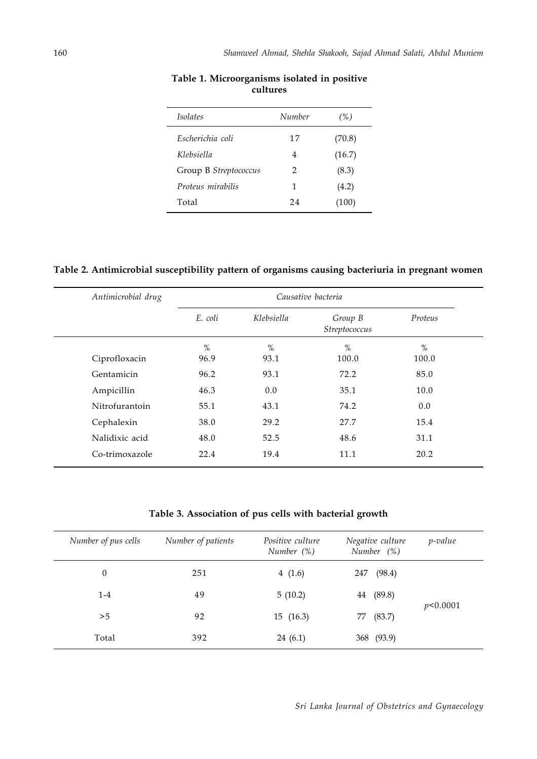| <i>Isolates</i>       | Number        | (%)    |
|-----------------------|---------------|--------|
| Escherichia coli      | 17            | (70.8) |
| Klebsiella            | 4             | (16.7) |
| Group B Streptococcus | $\mathcal{P}$ | (8.3)  |
| Proteus mirabilis     | 1             | (4.2)  |
| Total                 | 24            | (100)  |

## **Table 1. Microorganisms isolated in positive cultures**

# **Table 2. Antimicrobial susceptibility pattern of organisms causing bacteriuria in pregnant women**

| Antimicrobial drug | Causative bacteria                                |      |         |       |  |
|--------------------|---------------------------------------------------|------|---------|-------|--|
|                    | E. coli<br>Klebsiella<br>Group B<br>Streptococcus |      | Proteus |       |  |
|                    | $\%$                                              | $\%$ | $\%$    | %     |  |
| Ciprofloxacin      | 96.9                                              | 93.1 | 100.0   | 100.0 |  |
| Gentamicin         | 96.2                                              | 93.1 | 72.2    | 85.0  |  |
| Ampicillin         | 46.3                                              | 0.0  | 35.1    | 10.0  |  |
| Nitrofurantoin     | 55.1                                              | 43.1 | 74.2    | 0.0   |  |
| Cephalexin         | 38.0                                              | 29.2 | 27.7    | 15.4  |  |
| Nalidixic acid     | 48.0                                              | 52.5 | 48.6    | 31.1  |  |
| Co-trimoxazole     | 22.4                                              | 19.4 | 11.1    | 20.2  |  |

## **Table 3. Association of pus cells with bacterial growth**

| Number of pus cells | Number of patients | Positive culture<br>Number (%) | Negative culture<br>Number (%) | p-value  |
|---------------------|--------------------|--------------------------------|--------------------------------|----------|
| $\theta$            | 251                | 4 $(1.6)$                      | (98.4)<br>247                  |          |
| $1 - 4$             | 49                 | 5(10.2)                        | 44 (89.8)                      |          |
| >5                  | 92                 | 15(16.3)                       | (83.7)<br>77                   | p<0.0001 |
| Total               | 392                | 24(6.1)                        | 368 (93.9)                     |          |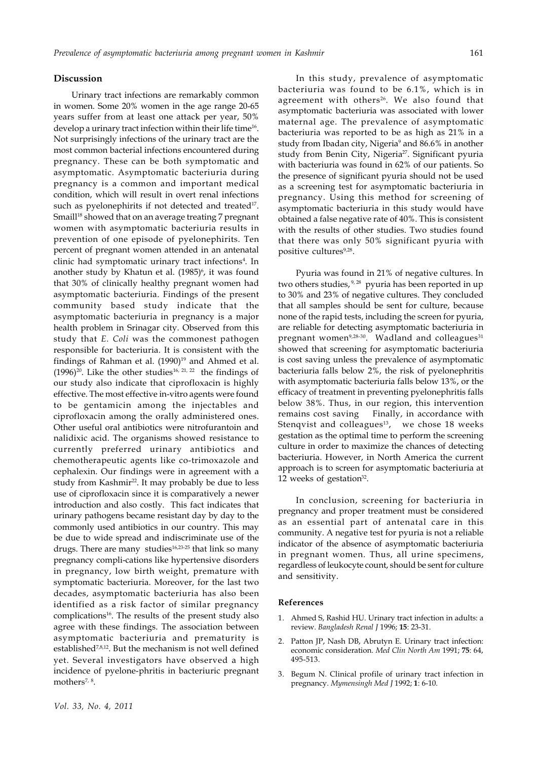#### **Discussion**

Urinary tract infections are remarkably common in women. Some 20% women in the age range 20-65 years suffer from at least one attack per year, 50% develop a urinary tract infection within their life time<sup>16</sup>. Not surprisingly infections of the urinary tract are the most common bacterial infections encountered during pregnancy. These can be both symptomatic and asymptomatic. Asymptomatic bacteriuria during pregnancy is a common and important medical condition, which will result in overt renal infections such as pyelonephirits if not detected and treated<sup>17</sup>. Smaill<sup>18</sup> showed that on an average treating 7 pregnant women with asymptomatic bacteriuria results in prevention of one episode of pyelonephirits. Ten percent of pregnant women attended in an antenatal clinic had symptomatic urinary tract infections<sup>4</sup>. In another study by Khatun et al. (1985)<sup>6</sup>, it was found that 30% of clinically healthy pregnant women had asymptomatic bacteriuria. Findings of the present community based study indicate that the asymptomatic bacteriuria in pregnancy is a major health problem in Srinagar city. Observed from this study that *E. Coli* was the commonest pathogen responsible for bacteriuria. It is consistent with the findings of Rahman et al.  $(1990)^{19}$  and Ahmed et al.  $(1996)^{20}$ . Like the other studies<sup>16, 21, 22</sup> the findings of our study also indicate that ciprofloxacin is highly effective. The most effective in-vitro agents were found to be gentamicin among the injectables and ciprofloxacin among the orally administered ones. Other useful oral antibiotics were nitrofurantoin and nalidixic acid. The organisms showed resistance to currently preferred urinary antibiotics and chemotherapeutic agents like co-trimoxazole and cephalexin. Our findings were in agreement with a study from Kashmir<sup>22</sup>. It may probably be due to less use of ciprofloxacin since it is comparatively a newer introduction and also costly. This fact indicates that urinary pathogens became resistant day by day to the commonly used antibiotics in our country. This may be due to wide spread and indiscriminate use of the drugs. There are many studies<sup>16,23-25</sup> that link so many pregnancy compli-cations like hypertensive disorders in pregnancy, low birth weight, premature with symptomatic bacteriuria. Moreover, for the last two decades, asymptomatic bacteriuria has also been identified as a risk factor of similar pregnancy complications<sup>16</sup>. The results of the present study also agree with these findings. The association between asymptomatic bacteriuria and prematurity is established7,8,12. But the mechanism is not well defined yet. Several investigators have observed a high incidence of pyelone-phritis in bacteriuric pregnant mothers<sup>7, 8</sup>.

In this study, prevalence of asymptomatic bacteriuria was found to be 6.1%, which is in agreement with others<sup>26</sup>. We also found that asymptomatic bacteriuria was associated with lower maternal age. The prevalence of asymptomatic bacteriuria was reported to be as high as 21% in a study from Ibadan city, Nigeria<sup>9</sup> and 86.6% in another study from Benin City, Nigeria<sup>27</sup>. Significant pyuria with bacteriuria was found in 62% of our patients. So the presence of significant pyuria should not be used as a screening test for asymptomatic bacteriuria in pregnancy. Using this method for screening of asymptomatic bacteriuria in this study would have obtained a false negative rate of 40%. This is consistent with the results of other studies. Two studies found that there was only 50% significant pyuria with positive cultures<sup>9,28</sup>.

Pyuria was found in 21% of negative cultures. In two others studies, <sup>9, 28</sup> pyuria has been reported in up to 30% and 23% of negative cultures. They concluded that all samples should be sent for culture, because none of the rapid tests, including the screen for pyuria, are reliable for detecting asymptomatic bacteriuria in pregnant women<sup>9,28-30</sup>. Wadland and colleagues<sup>31</sup> showed that screening for asymptomatic bacteriuria is cost saving unless the prevalence of asymptomatic bacteriuria falls below 2%, the risk of pyelonephritis with asymptomatic bacteriuria falls below 13%, or the efficacy of treatment in preventing pyelonephritis falls below 38%. Thus, in our region, this intervention remains cost saving Finally, in accordance with Stenqvist and colleagues $^{13}$ , we chose 18 weeks gestation as the optimal time to perform the screening culture in order to maximize the chances of detecting bacteriuria. However, in North America the current approach is to screen for asymptomatic bacteriuria at 12 weeks of gestation $32$ .

In conclusion, screening for bacteriuria in pregnancy and proper treatment must be considered as an essential part of antenatal care in this community. A negative test for pyuria is not a reliable indicator of the absence of asymptomatic bacteriuria in pregnant women. Thus, all urine specimens, regardless of leukocyte count, should be sent for culture and sensitivity.

#### **References**

- 1. Ahmed S, Rashid HU. Urinary tract infection in adults: a review. *Bangladesh Renal J* 1996; **15**: 23-31.
- 2. Patton JP, Nash DB, Abrutyn E. Urinary tract infection: economic consideration. *Med Clin North Am* 1991; **75**: 64, 495-513.
- 3. Begum N. Clinical profile of urinary tract infection in pregnancy. *Mymensingh Med J* 1992; **1**: 6-10.